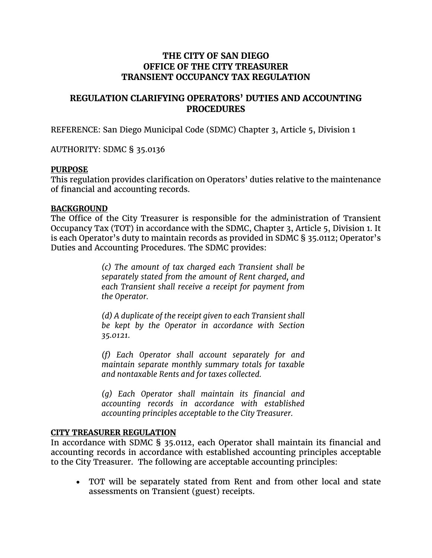# **THE CITY OF SAN DIEGO OFFICE OF THE CITY TREASURER TRANSIENT OCCUPANCY TAX REGULATION**

# **REGULATION CLARIFYING OPERATORS' DUTIES AND ACCOUNTING PROCEDURES**

REFERENCE: San Diego Municipal Code (SDMC) Chapter 3, Article 5, Division 1

AUTHORITY: SDMC § 35.0136

### **PURPOSE**

This regulation provides clarification on Operators' duties relative to the maintenance of financial and accounting records.

#### **BACKGROUND**

The Office of the City Treasurer is responsible for the administration of Transient Occupancy Tax (TOT) in accordance with the SDMC, Chapter 3, Article 5, Division 1. It is each Operator's duty to maintain records as provided in SDMC § 35.0112; Operator's Duties and Accounting Procedures. The SDMC provides:

> *(c) The amount of tax charged each Transient shall be separately stated from the amount of Rent charged, and each Transient shall receive a receipt for payment from the Operator.*

> *(d) A duplicate of the receipt given to each Transient shall be kept by the Operator in accordance with Section 35.0121.*

> *(f) Each Operator shall account separately for and maintain separate monthly summary totals for taxable and nontaxable Rents and for taxes collected.*

> *(g) Each Operator shall maintain its financial and accounting records in accordance with established accounting principles acceptable to the City Treasurer.*

### **CITY TREASURER REGULATION**

In accordance with SDMC § 35.0112, each Operator shall maintain its financial and accounting records in accordance with established accounting principles acceptable to the City Treasurer. The following are acceptable accounting principles:

• TOT will be separately stated from Rent and from other local and state assessments on Transient (guest) receipts.